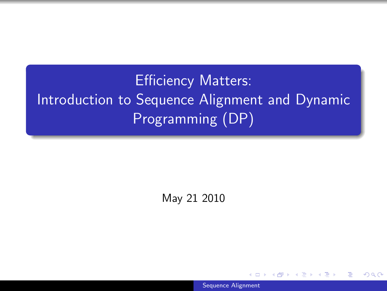# Efficiency Matters: Introduction to Sequence Alignment and Dynamic Programming (DP)

May 21 2010

<span id="page-0-0"></span>[Sequence Alignment](#page-32-0)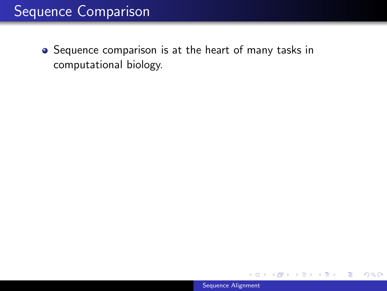## Sequence Comparison

• Sequence comparison is at the heart of many tasks in computational biology.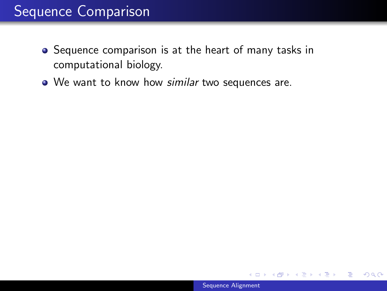### Sequence Comparison

- Sequence comparison is at the heart of many tasks in computational biology.
- We want to know how similar two sequences are.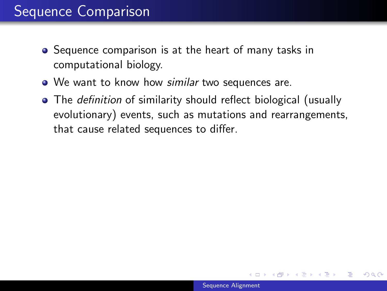- Sequence comparison is at the heart of many tasks in computational biology.
- We want to know how similar two sequences are.
- The *definition* of similarity should reflect biological (usually evolutionary) events, such as mutations and rearrangements, that cause related sequences to differ.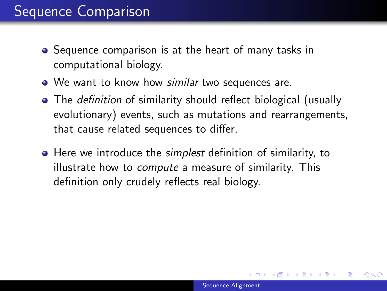- **•** Sequence comparison is at the heart of many tasks in computational biology.
- We want to know how similar two sequences are.
- The *definition* of similarity should reflect biological (usually evolutionary) events, such as mutations and rearrangements, that cause related sequences to differ.
- **•** Here we introduce the *simplest* definition of similarity, to illustrate how to compute a measure of similarity. This definition only crudely reflects real biology.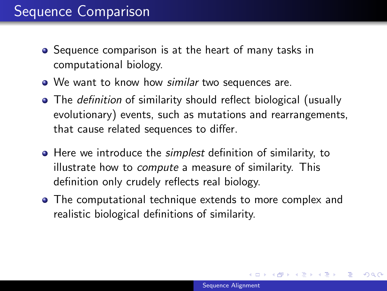- **•** Sequence comparison is at the heart of many tasks in computational biology.
- We want to know how similar two sequences are.
- The *definition* of similarity should reflect biological (usually evolutionary) events, such as mutations and rearrangements, that cause related sequences to differ.
- **•** Here we introduce the *simplest* definition of similarity, to illustrate how to compute a measure of similarity. This definition only crudely reflects real biology.
- The computational technique extends to more complex and realistic biological definitions of similarity.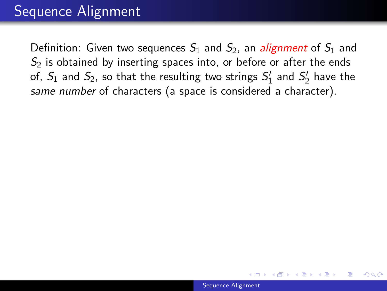#### Sequence Alignment

Definition: Given two sequences  $S_1$  and  $S_2$ , an *alignment* of  $S_1$  and  $S<sub>2</sub>$  is obtained by inserting spaces into, or before or after the ends of,  $S_1$  and  $S_2$ , so that the resulting two strings  $S_1^\prime$  $S'_1$  and  $S'_2$  $\frac{7}{2}$  have the same number of characters (a space is considered a character).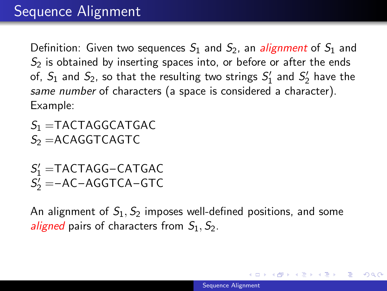Definition: Given two sequences  $S_1$  and  $S_2$ , an *alignment* of  $S_1$  and  $S<sub>2</sub>$  is obtained by inserting spaces into, or before or after the ends of,  $S_1$  and  $S_2$ , so that the resulting two strings  $S_1^\prime$  $S'_1$  and  $S'_2$  $\frac{7}{2}$  have the same number of characters (a space is considered a character). Example:

 $S_1$  =TACTAGGCATGAC  $S<sub>2</sub> = ACAGGTCAGTC$ 

 $S_1'$  =TACTAGG-CATGAC  $S_2$ <sup>'</sup> = -AC-AGGTCA-GTC

An alignment of  $S_1$ ,  $S_2$  imposes well-defined positions, and some aligned pairs of characters from  $S_1$ ,  $S_2$ .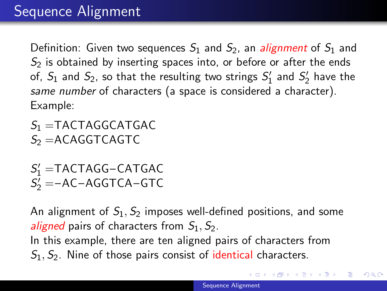Definition: Given two sequences  $S_1$  and  $S_2$ , an *alignment* of  $S_1$  and  $S<sub>2</sub>$  is obtained by inserting spaces into, or before or after the ends of,  $S_1$  and  $S_2$ , so that the resulting two strings  $S_1^\prime$  $S'_1$  and  $S'_2$  $\frac{7}{2}$  have the same number of characters (a space is considered a character). Example:

 $S_1$  =TACTAGGCATGAC  $S<sub>2</sub> = ACAGGTCAGTC$ 

 $S_1'$  =TACTAGG-CATGAC  $S_2$ <sup>'</sup> = -AC-AGGTCA-GTC

An alignment of  $S_1, S_2$  imposes well-defined positions, and some *aligned* pairs of characters from  $S_1$ ,  $S_2$ . In this example, there are ten aligned pairs of characters from  $S_1, S_2$ . Nine of those pairs consist of identical characters.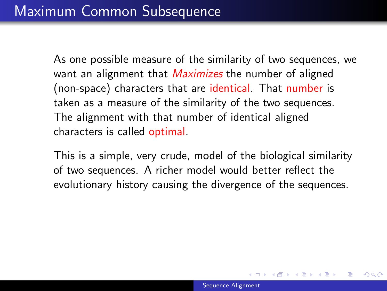This is a simple, very crude, model of the biological similarity of two sequences. A richer model would better reflect the evolutionary history causing the divergence of the sequences.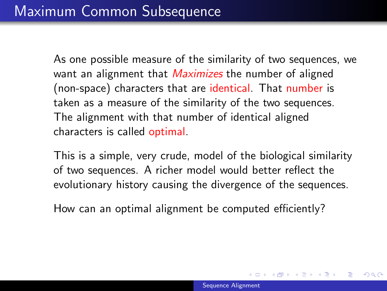This is a simple, very crude, model of the biological similarity of two sequences. A richer model would better reflect the evolutionary history causing the divergence of the sequences.

How can an optimal alignment be computed efficiently?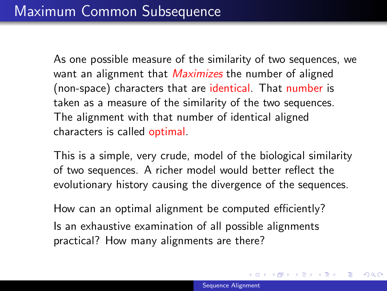This is a simple, very crude, model of the biological similarity of two sequences. A richer model would better reflect the evolutionary history causing the divergence of the sequences.

How can an optimal alignment be computed efficiently? Is an exhaustive examination of all possible alignments practical? How many alignments are there?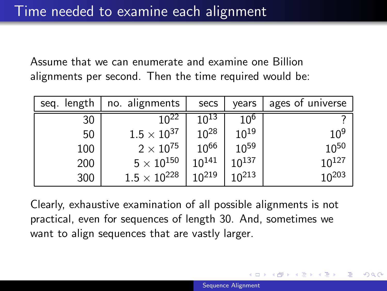Assume that we can enumerate and examine one Billion alignments per second. Then the time required would be:

| seq. length | no. alignments      | secs       | vears      | ages of universe |
|-------------|---------------------|------------|------------|------------------|
| 30          | $10^{22}$           | $10^{13}$  | 10°        |                  |
| 50          | $1.5\times10^{37}$  | $10^{28}$  | $10^{19}$  | $10^{9}$         |
| 100         | $2\times10^{75}$    | $10^{66}$  | $10^{59}$  | $10^{50}$        |
| 200         | $5\times10^{150}$   | $10^{141}$ | $10^{137}$ | $10^{127}$       |
| 300         | $1.5\times10^{228}$ | $10^{219}$ | $10^{213}$ | $10^{203}$       |

Clearly, exhaustive examination of all possible alignments is not practical, even for sequences of length 30. And, sometimes we want to align sequences that are vastly larger.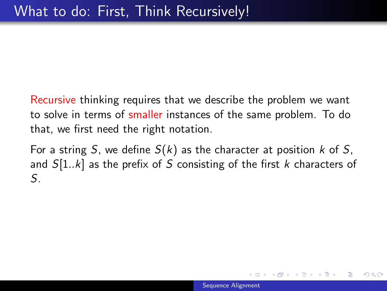Recursive thinking requires that we describe the problem we want to solve in terms of smaller instances of the same problem. To do that, we first need the right notation.

For a string S, we define  $S(k)$  as the character at position k of S, and  $S[1..k]$  as the prefix of S consisting of the first k characters of S.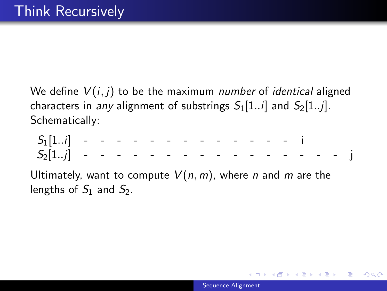We define  $V(i, j)$  to be the maximum number of *identical* aligned characters in any alignment of substrings  $S_1[1..i]$  and  $S_2[1..j]$ . Schematically:

 $S_1[1..i]$  - - - - - - - - - - - - - i  $S_2[1..j]$  - - - - - - - - - - - - - - - j

Ultimately, want to compute  $V(n, m)$ , where n and m are the lengths of  $S_1$  and  $S_2$ .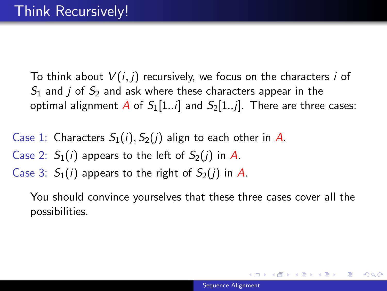To think about  $V(i, j)$  recursively, we focus on the characters i of  $S_1$  and *j* of  $S_2$  and ask where these characters appear in the optimal alignment A of  $S_1[1..i]$  and  $S_2[1..i]$ . There are three cases:

- Case 1: Characters  $S_1(i)$ ,  $S_2(i)$  align to each other in A.
- Case 2:  $S_1(i)$  appears to the left of  $S_2(i)$  in A.
- Case 3:  $S_1(i)$  appears to the right of  $S_2(i)$  in A.

You should convince yourselves that these three cases cover all the possibilities.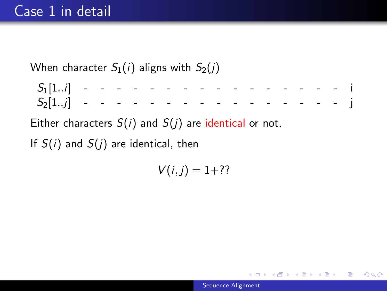When character  $S_1(i)$  aligns with  $S_2(i)$ 

 $S_1[1..i]$  - - - - - - - - - - - - - - - i  $S_2[1,j]$  - - - - - - - - - - - - - - - - i

Either characters  $S(i)$  and  $S(j)$  are identical or not.

If  $S(i)$  and  $S(j)$  are identical, then

 $V(i, j) = 1+$ ??

∢ @ ▶ - ∢ @ ▶ - ∢ @ ▶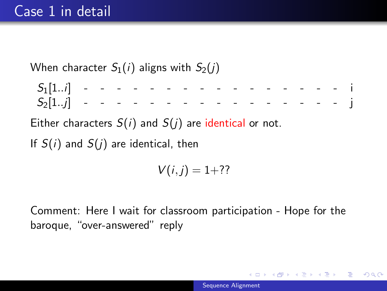When character  $S_1(i)$  aligns with  $S_2(i)$ 

 $S_1[1..i]$  - - - - - - - - - - - - - - - - i  $S_2[1..j]$  - - - - - - - - - - - - - - - - i

Either characters  $S(i)$  and  $S(j)$  are identical or not.

If  $S(i)$  and  $S(j)$  are identical, then

 $V(i, j) = 1+$ ??

Comment: Here I wait for classroom participation - Hope for the baroque, "over-answered" reply

メ御 ドメ ヨ ドメ ヨ ドー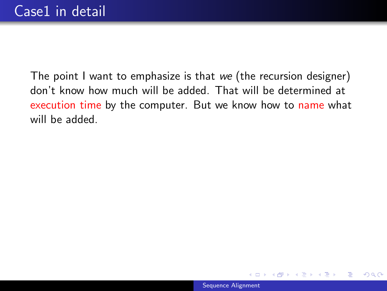The point I want to emphasize is that we (the recursion designer) don't know how much will be added. That will be determined at execution time by the computer. But we know how to name what will be added.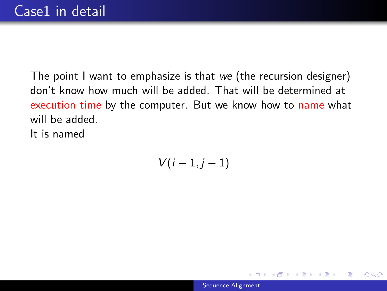The point I want to emphasize is that we (the recursion designer) don't know how much will be added. That will be determined at execution time by the computer. But we know how to name what will be added. It is named

 $V(i-1, j-1)$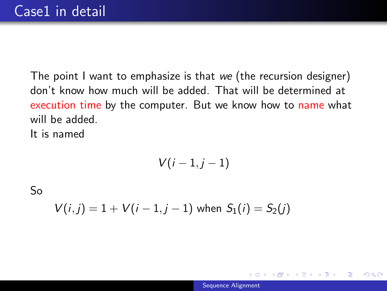The point I want to emphasize is that we (the recursion designer) don't know how much will be added. That will be determined at execution time by the computer. But we know how to name what will be added. It is named

$$
V(i-1,j-1)
$$

So

$$
V(i,j) = 1 + V(i-1,j-1) \text{ when } S_1(i) = S_2(j)
$$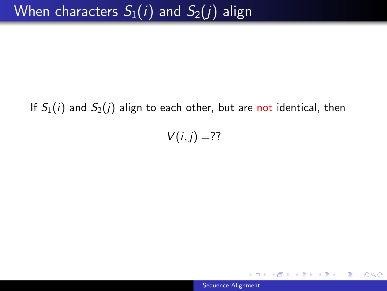#### If  $S_1(i)$  and  $S_2(j)$  align to each other, but are not identical, then

 $V(i, j) = ??$ 

[Sequence Alignment](#page-0-0)

 $299$ 

∢@ ▶ ∢ 동 ▶ ∢ 동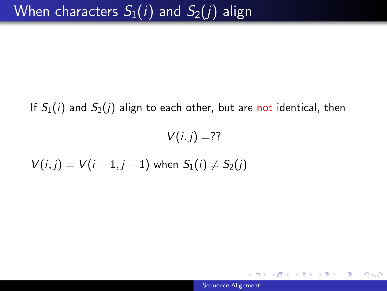If  $S_1(i)$  and  $S_2(j)$  align to each other, but are not identical, then

 $V(i, j) = ??$ 

 $V(i, j) = V(i - 1, j - 1)$  when  $S_1(i) \neq S_2(j)$ 

∢ @ ▶ → 君 ▶ → 君 ▶ ...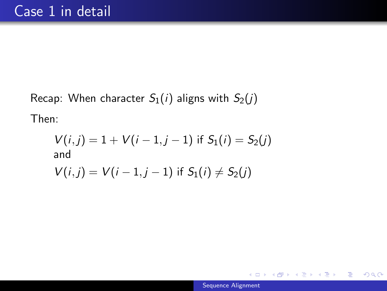Recap: When character  $S_1(i)$  aligns with  $S_2(j)$ Then:

$$
V(i, j) = 1 + V(i - 1, j - 1) \text{ if } S_1(i) = S_2(j)
$$
  
and  

$$
V(i, j) = V(i - 1, j - 1) \text{ if } S_1(i) \neq S_2(j)
$$

←□

150 ▶ - ◆ 로

 $299$ 

目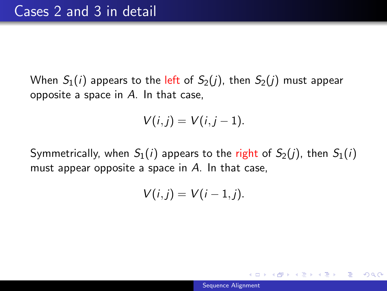When  $S_1(i)$  appears to the left of  $S_2(j)$ , then  $S_2(j)$  must appear opposite a space in  $A$ . In that case,

$$
V(i,j) = V(i,j-1).
$$

Symmetrically, when  $S_1(i)$  appears to the right of  $S_2(i)$ , then  $S_1(i)$ must appear opposite a space in  $A$ . In that case,

$$
V(i,j)=V(i-1,j).
$$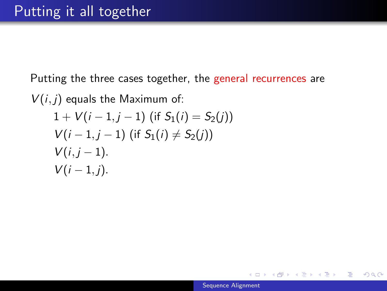Putting the three cases together, the general recurrences are

 $V(i, j)$  equals the Maximum of:

$$
1 + V(i - 1, j - 1) \text{ (if } S_1(i) = S_2(j))
$$
  
 
$$
V(i - 1, j - 1) \text{ (if } S_1(i) \neq S_2(j))
$$
  
 
$$
V(i, j - 1).
$$
  
 
$$
V(i - 1, j).
$$

◀ @ ▶ ◀ 듣 ▶ ◀ 듣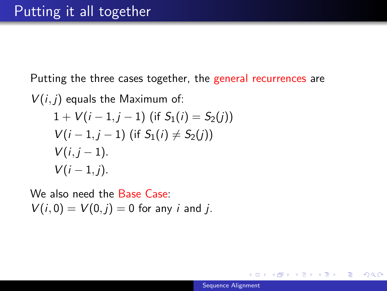Putting the three cases together, the general recurrences are

 $V(i, j)$  equals the Maximum of:

$$
1 + V(i - 1, j - 1) \text{ (if } S_1(i) = S_2(j))
$$
  
 
$$
V(i - 1, j - 1) \text{ (if } S_1(i) \neq S_2(j))
$$
  
 
$$
V(i, j - 1).
$$
  
 
$$
V(i - 1, j).
$$

We also need the Base Case:  $V(i, 0) = V(0, j) = 0$  for any *i* and *j*.

御と メミとメ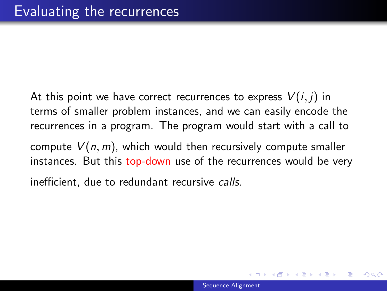At this point we have correct recurrences to express  $V(i, j)$  in terms of smaller problem instances, and we can easily encode the recurrences in a program. The program would start with a call to compute  $V(n, m)$ , which would then recursively compute smaller instances. But this top-down use of the recurrences would be very

inefficient, due to redundant recursive calls.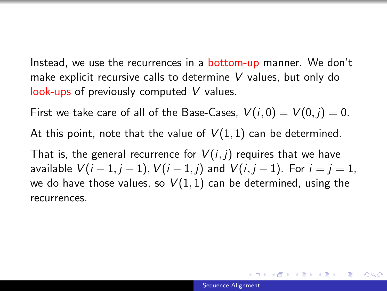Instead, we use the recurrences in a **bottom-up** manner. We don't make explicit recursive calls to determine V values, but only do look-ups of previously computed V values.

First we take care of all of the Base-Cases,  $V(i, 0) = V(0, j) = 0$ .

At this point, note that the value of  $V(1,1)$  can be determined.

That is, the general recurrence for  $V(i, j)$  requires that we have available  $V(i-1, j-1)$ ,  $V(i-1, j)$  and  $V(i, j-1)$ . For  $i = j = 1$ , we do have those values, so  $V(1,1)$  can be determined, using the recurrences.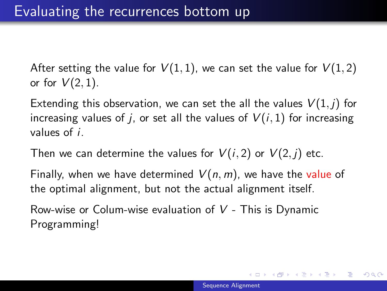After setting the value for  $V(1,1)$ , we can set the value for  $V(1,2)$ or for  $V(2,1)$ .

Extending this observation, we can set the all the values  $V(1,j)$  for increasing values of *i*, or set all the values of  $V(i, 1)$  for increasing values of i.

Then we can determine the values for  $V(i, 2)$  or  $V(2, j)$  etc.

Finally, when we have determined  $V(n, m)$ , we have the value of the optimal alignment, but not the actual alignment itself.

Row-wise or Colum-wise evaluation of  $V$  - This is Dynamic Programming!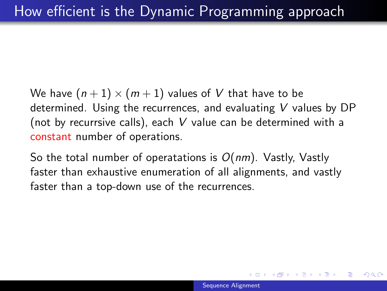We have  $(n + 1) \times (m + 1)$  values of V that have to be determined. Using the recurrences, and evaluating V values by DP (not by recurrsive calls), each V value can be determined with a constant number of operations.

So the total number of operatations is  $O(nm)$ . Vastly, Vastly faster than exhaustive enumeration of all alignments, and vastly faster than a top-down use of the recurrences.